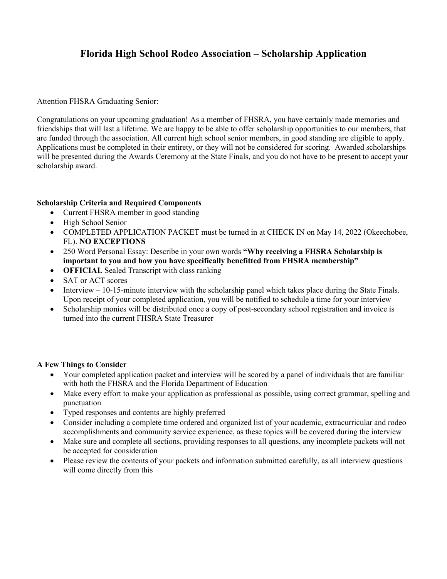## **Florida High School Rodeo Association – Scholarship Application**

Attention FHSRA Graduating Senior:

Congratulations on your upcoming graduation! As a member of FHSRA, you have certainly made memories and friendships that will last a lifetime. We are happy to be able to offer scholarship opportunities to our members, that are funded through the association. All current high school senior members, in good standing are eligible to apply. Applications must be completed in their entirety, or they will not be considered for scoring. Awarded scholarships will be presented during the Awards Ceremony at the State Finals, and you do not have to be present to accept your scholarship award.

## **Scholarship Criteria and Required Components**

- Current FHSRA member in good standing
- High School Senior
- COMPLETED APPLICATION PACKET must be turned in at CHECK IN on May 14, 2022 (Okeechobee, FL). **NO EXCEPTIONS**
- 250 Word Personal Essay: Describe in your own words **"Why receiving a FHSRA Scholarship is important to you and how you have specifically benefitted from FHSRA membership"**
- **OFFICIAL** Sealed Transcript with class ranking
- SAT or ACT scores
- Interview  $-10-15$ -minute interview with the scholarship panel which takes place during the State Finals. Upon receipt of your completed application, you will be notified to schedule a time for your interview
- Scholarship monies will be distributed once a copy of post-secondary school registration and invoice is turned into the current FHSRA State Treasurer

## **A Few Things to Consider**

- Your completed application packet and interview will be scored by a panel of individuals that are familiar with both the FHSRA and the Florida Department of Education
- Make every effort to make your application as professional as possible, using correct grammar, spelling and punctuation
- Typed responses and contents are highly preferred
- Consider including a complete time ordered and organized list of your academic, extracurricular and rodeo accomplishments and community service experience, as these topics will be covered during the interview
- Make sure and complete all sections, providing responses to all questions, any incomplete packets will not be accepted for consideration
- Please review the contents of your packets and information submitted carefully, as all interview questions will come directly from this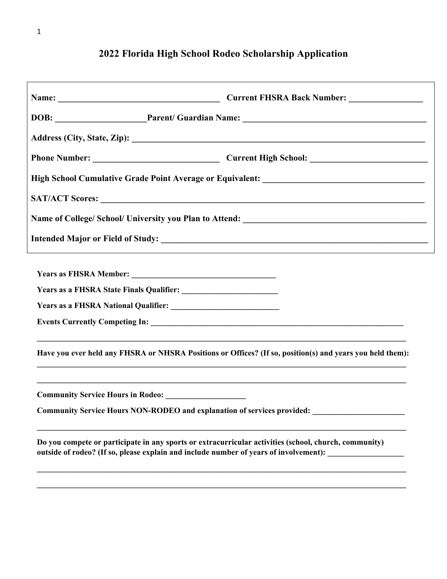| DOB: Parent/ Guardian Name: 2008.                                                                                                                                                              |  |
|------------------------------------------------------------------------------------------------------------------------------------------------------------------------------------------------|--|
|                                                                                                                                                                                                |  |
|                                                                                                                                                                                                |  |
|                                                                                                                                                                                                |  |
|                                                                                                                                                                                                |  |
|                                                                                                                                                                                                |  |
|                                                                                                                                                                                                |  |
|                                                                                                                                                                                                |  |
|                                                                                                                                                                                                |  |
|                                                                                                                                                                                                |  |
|                                                                                                                                                                                                |  |
|                                                                                                                                                                                                |  |
| Have you ever held any FHSRA or NHSRA Positions or Offices? (If so, position(s) and years you held them):                                                                                      |  |
|                                                                                                                                                                                                |  |
| Community Service Hours NON-RODEO and explanation of services provided: ___________________________                                                                                            |  |
| Do you compete or participate in any sports or extracurricular activities (school, church, community)<br>outside of rodeo? (If so, please explain and include number of years of involvement): |  |
|                                                                                                                                                                                                |  |